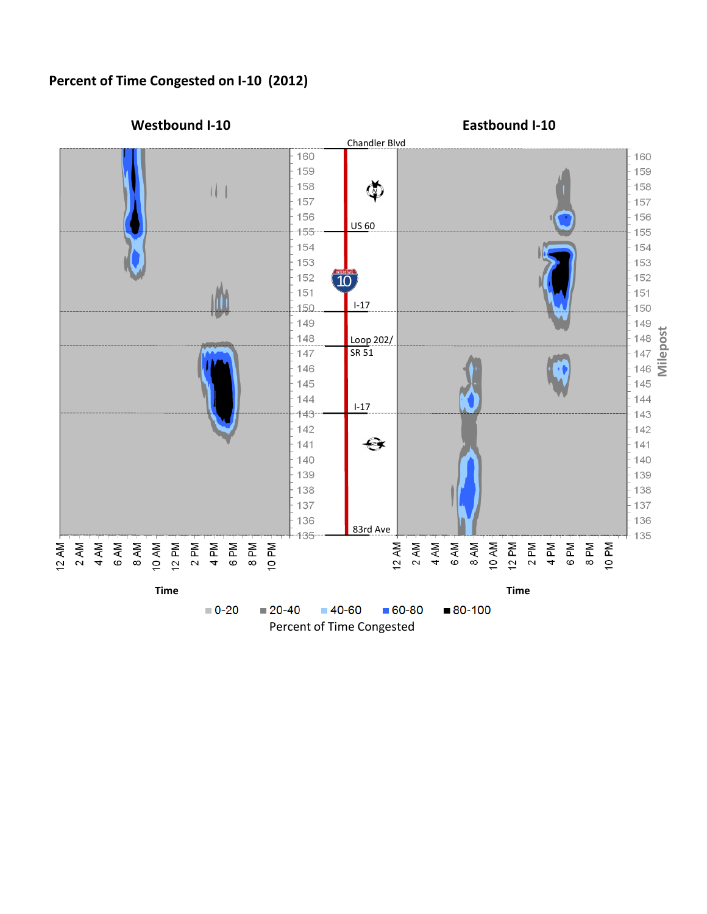## **Percent of Time Congested on I-10 (2012)**

**Eastbound I-10**

Percent of Time Congested

**Westbound I-10**

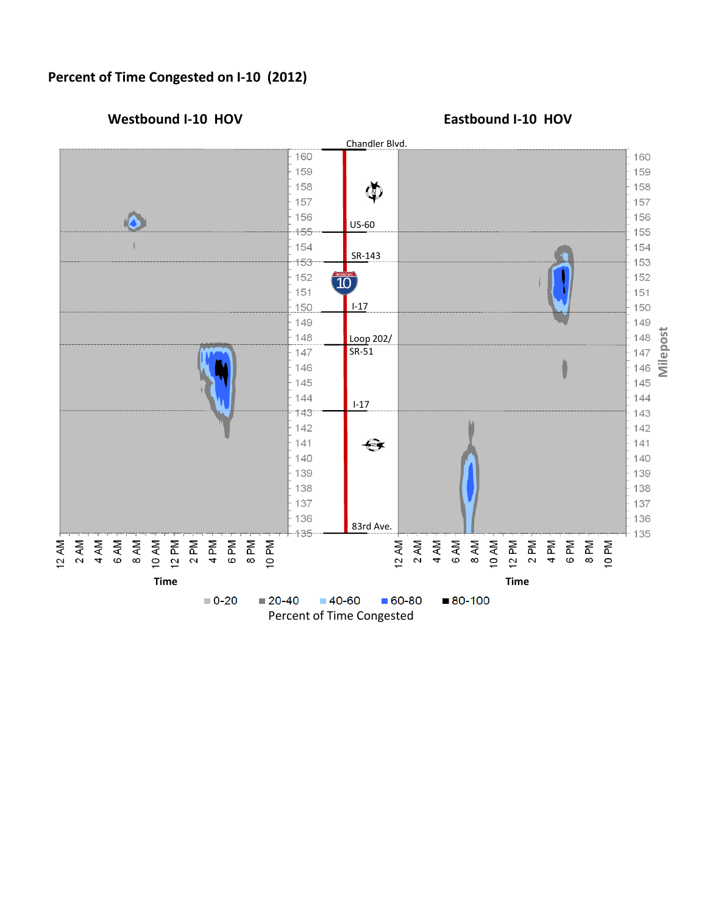## **Percent of Time Congested on I-10 (2012)**

Percent of Time Congested

**Westbound I-10 HOV Eastbound I-10 HOV**

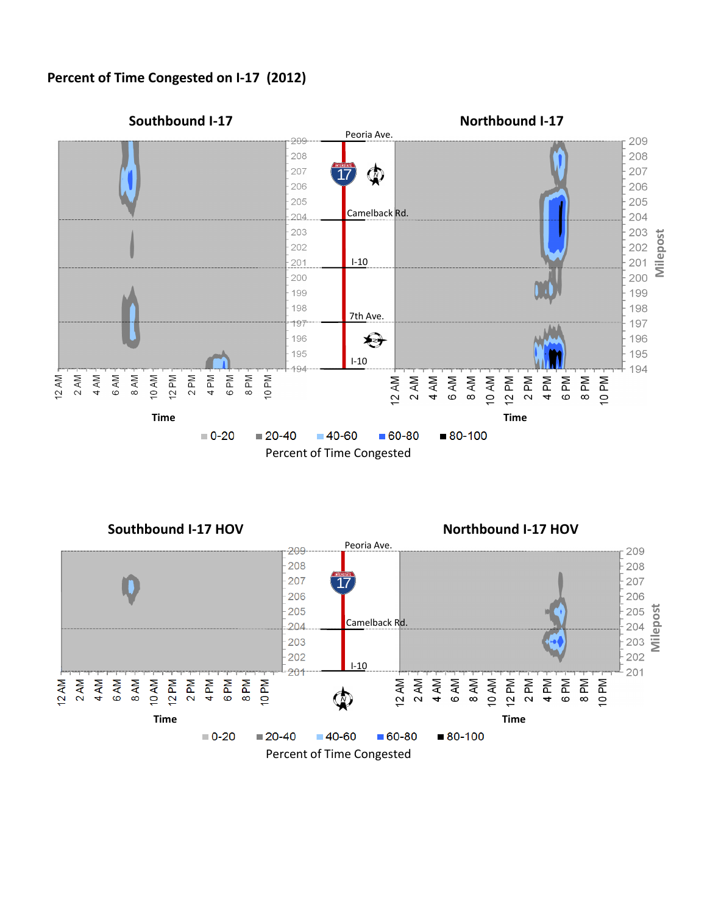## **Percent of Time Congested on I-17 (2012)**





**Southbound I-17 HOV Northbound I-17 HOV**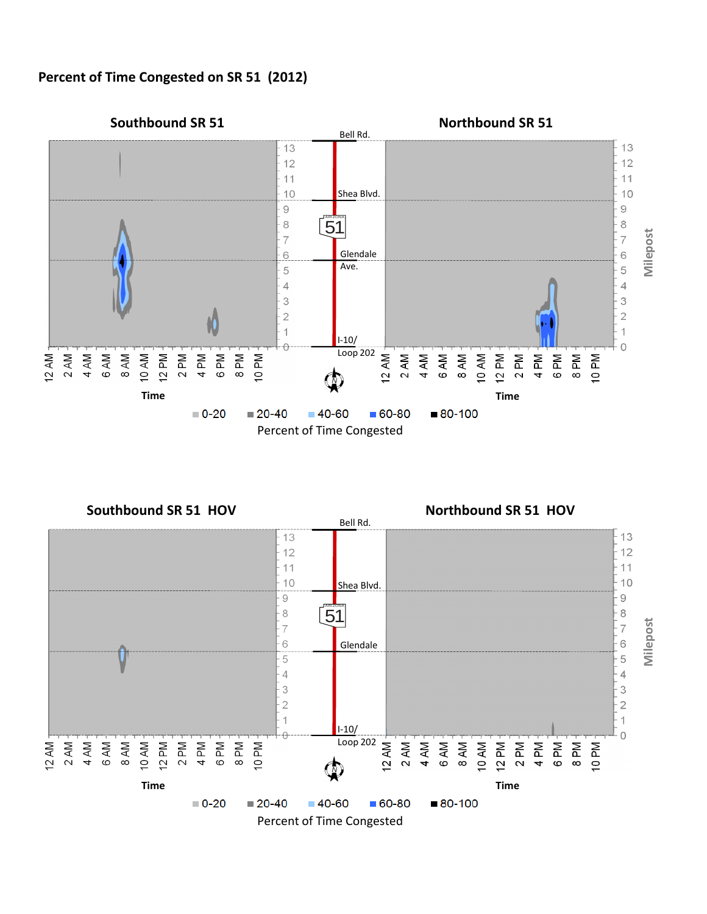**Percent of Time Congested on SR 51 (2012)**





**Southbound SR 51 HOV Northbound SR 51 HOV**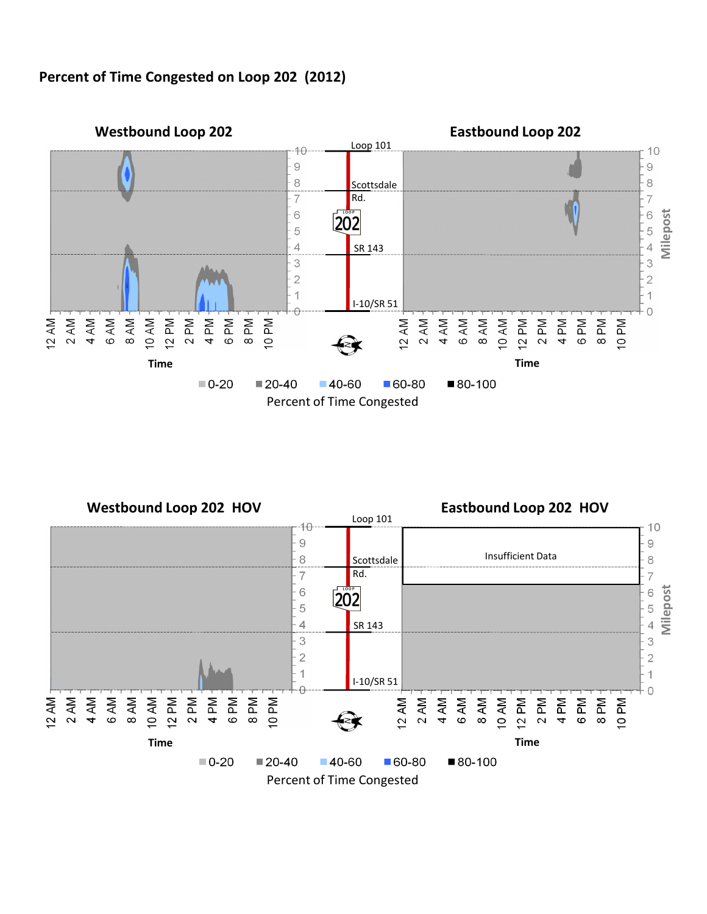**Percent of Time Congested on Loop 202 (2012)**



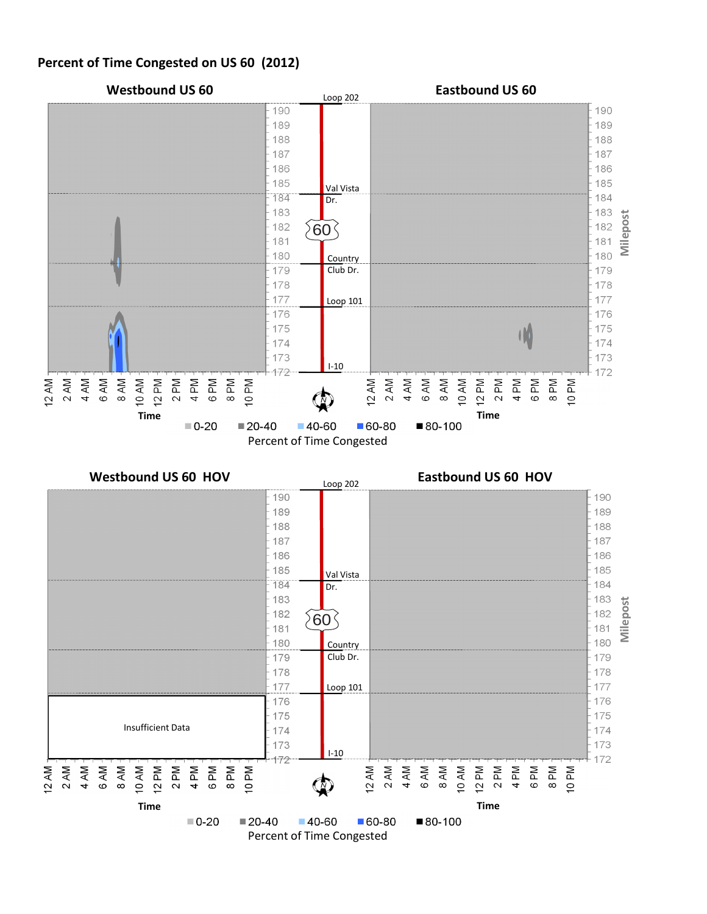## **Percent of Time Congested on US 60 (2012)**

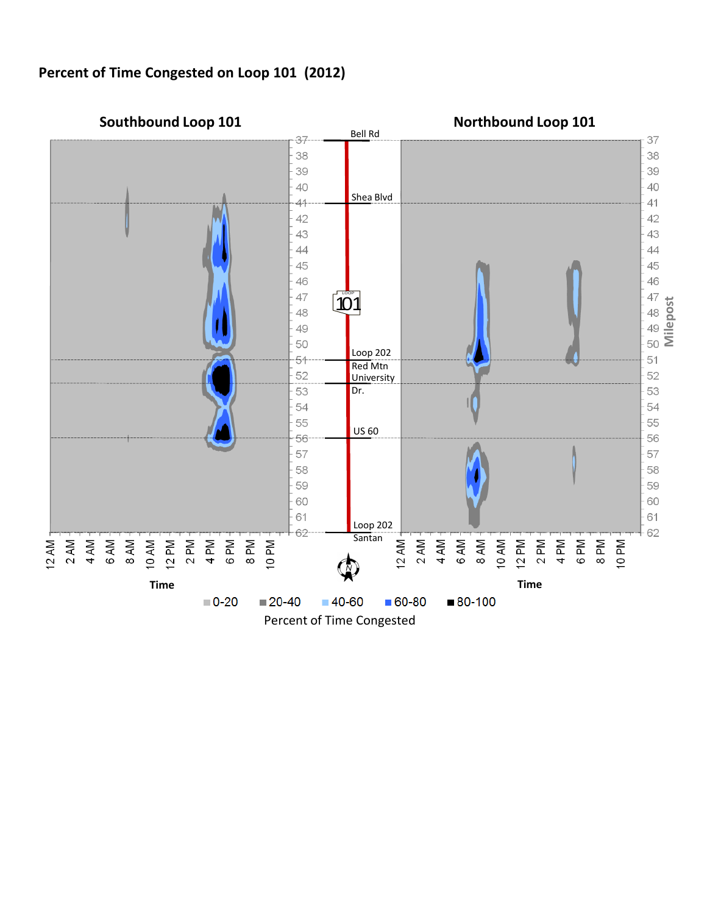**Percent of Time Congested on Loop 101 (2012)**

![](_page_6_Figure_1.jpeg)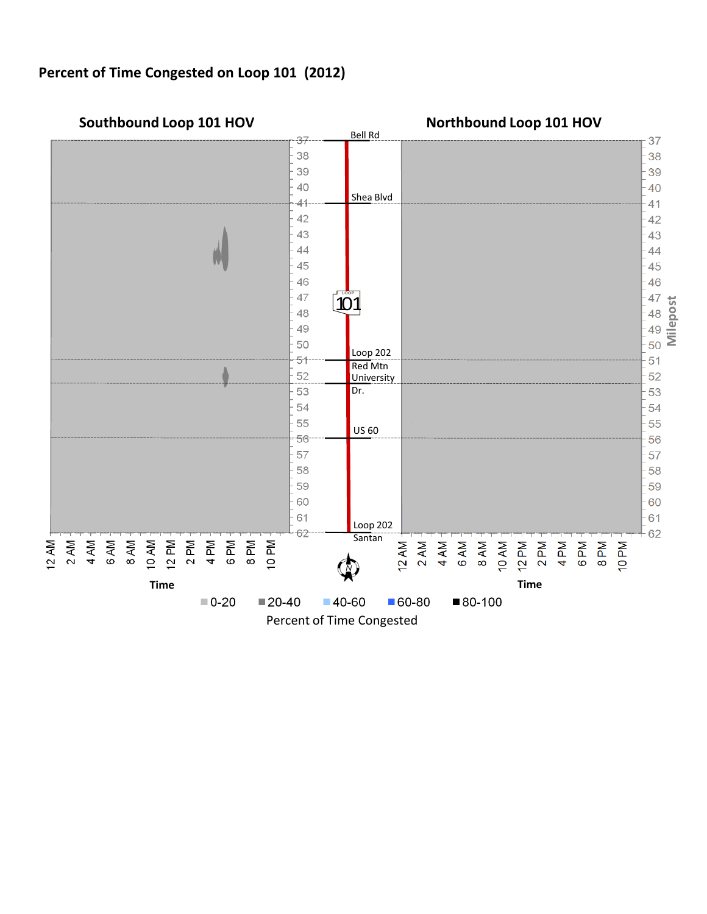**Percent of Time Congested on Loop 101 (2012)**

![](_page_7_Figure_1.jpeg)